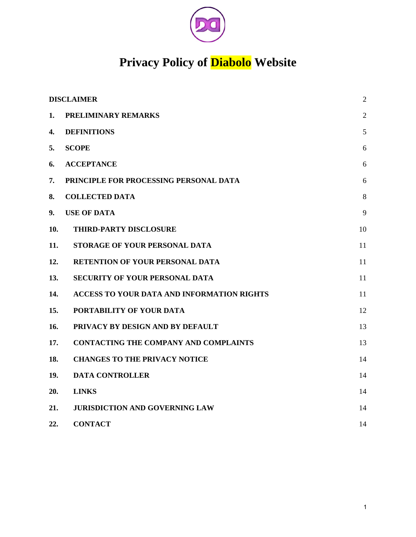

# **Privacy Policy of Diabolo Website**

| <b>DISCLAIMER</b> |                                                   | $\overline{2}$ |
|-------------------|---------------------------------------------------|----------------|
| 1.                | <b>PRELIMINARY REMARKS</b>                        | $\overline{2}$ |
| 4.                | <b>DEFINITIONS</b>                                | 5              |
| 5.                | <b>SCOPE</b>                                      | 6              |
| 6.                | <b>ACCEPTANCE</b>                                 | 6              |
| 7.                | PRINCIPLE FOR PROCESSING PERSONAL DATA            | 6              |
| 8.                | <b>COLLECTED DATA</b>                             | 8              |
| 9.                | <b>USE OF DATA</b>                                | 9              |
| 10.               | THIRD-PARTY DISCLOSURE                            | 10             |
| 11.               | STORAGE OF YOUR PERSONAL DATA                     | 11             |
| 12.               | <b>RETENTION OF YOUR PERSONAL DATA</b>            | 11             |
| 13.               | <b>SECURITY OF YOUR PERSONAL DATA</b>             | 11             |
| 14.               | <b>ACCESS TO YOUR DATA AND INFORMATION RIGHTS</b> | 11             |
| 15.               | PORTABILITY OF YOUR DATA                          | 12             |
| 16.               | PRIVACY BY DESIGN AND BY DEFAULT                  | 13             |
| 17.               | <b>CONTACTING THE COMPANY AND COMPLAINTS</b>      | 13             |
| 18.               | <b>CHANGES TO THE PRIVACY NOTICE</b>              | 14             |
| 19.               | <b>DATA CONTROLLER</b>                            | 14             |
| 20.               | <b>LINKS</b>                                      | 14             |
| 21.               | <b>JURISDICTION AND GOVERNING LAW</b>             | 14             |
| 22.               | <b>CONTACT</b>                                    | 14             |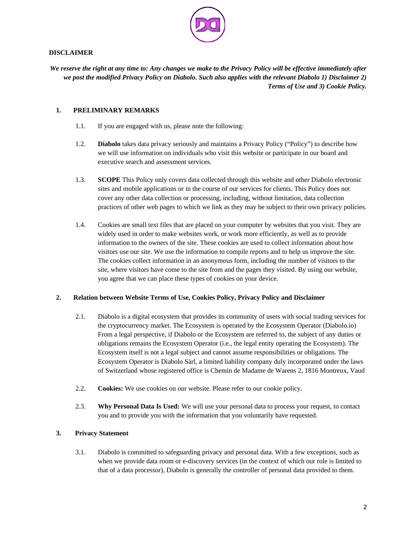

## <span id="page-1-1"></span>**DISCLAIMER**

*We reserve the right at any time to: Any changes we make to the Privacy Policy will be effective immediately after we post the modified Privacy Policy on Diabolo. Such also applies with the relevant Diabolo 1) Disclaimer 2) Terms of Use and 3) Cookie Policy.*

## **1. PRELIMINARY REMARKS**

- <span id="page-1-0"></span>1.1. If you are engaged with us, please note the following:
- 1.2. **Diabolo** takes data privacy seriously and maintains a Privacy Policy ("Policy") to describe how we will use information on individuals who visit this website or participate in our board and executive search and assessment services.
- 1.3. **SCOPE** This Policy only covers data collected through this website and other Diabolo electronic sites and mobile applications or in the course of our services for clients. This Policy does not cover any other data collection or processing, including, without limitation, data collection practices of other web pages to which we link as they may be subject to their own privacy policies.
- 1.4. Cookies are small text files that are placed on your computer by websites that you visit. They are widely used in order to make websites work, or work more efficiently, as well as to provide information to the owners of the site. These cookies are used to collect information about how visitors use our site. We use the information to compile reports and to help us improve the site. The cookies collect information in an anonymous form, including the number of visitors to the site, where visitors have come to the site from and the pages they visited. By using our website, you agree that we can place these types of cookies on your device.

#### **2. Relation between Website Terms of Use, Cookies Policy, Privacy Policy and Disclaimer**

- 2.1. Diabolo is a digital ecosystem that provides its community of users with social trading services for the cryptocurrency market. The Ecosystem is operated by the Ecosystem Operator (Diabolo.io) From a legal perspective, if Diabolo or the Ecosystem are referred to, the subject of any duties or obligations remains the Ecosystem Operator (i.e., the legal entity operating the Ecosystem). The Ecosystem itself is not a legal subject and cannot assume responsibilities or obligations. The Ecosystem Operator is Diabolo Sàrl, a limited liability company duly incorporated under the laws of Switzerland whose registered office is Chemin de Madame de Warens 2, 1816 Montreux, Vaud
- 2.2. **Cookies:** We use cookies on our website. Please refer to our cookie policy.
- 2.3. **Why Personal Data Is Used:** We will use your personal data to process your request, to contact you and to provide you with the information that you voluntarily have requested.

# **3. Privacy Statement**

3.1. Diabolo is committed to safeguarding privacy and personal data. With a few exceptions, such as when we provide data room or e-discovery services (in the context of which our role is limited to that of a data processor), Diabolo is generally the controller of personal data provided to them.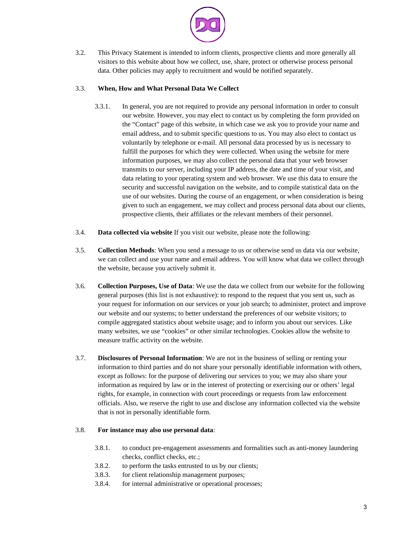

3.2. This Privacy Statement is intended to inform clients, prospective clients and more generally all visitors to this website about how we collect, use, share, protect or otherwise process personal data. Other policies may apply to recruitment and would be notified separately.

# 3.3. **When, How and What Personal Data We Collect**

- 3.3.1. In general, you are not required to provide any personal information in order to consult our website. However, you may elect to contact us by completing the form provided on the "Contact" page of this website, in which case we ask you to provide your name and email address, and to submit specific questions to us. You may also elect to contact us voluntarily by telephone or e-mail. All personal data processed by us is necessary to fulfill the purposes for which they were collected. When using the website for mere information purposes, we may also collect the personal data that your web browser transmits to our server, including your IP address, the date and time of your visit, and data relating to your operating system and web browser. We use this data to ensure the security and successful navigation on the website, and to compile statistical data on the use of our websites. During the course of an engagement, or when consideration is being given to such an engagement, we may collect and process personal data about our clients, prospective clients, their affiliates or the relevant members of their personnel.
- 3.4. **Data collected via website** If you visit our website, please note the following:
- 3.5. **Collection Methods**: When you send a message to us or otherwise send us data via our website, we can collect and use your name and email address. You will know what data we collect through the website, because you actively submit it.
- 3.6. **Collection Purposes, Use of Data**: We use the data we collect from our website for the following general purposes (this list is not exhaustive): to respond to the request that you sent us, such as your request for information on our services or your job search; to administer, protect and improve our website and our systems; to better understand the preferences of our website visitors; to compile aggregated statistics about website usage; and to inform you about our services. Like many websites, we use "cookies" or other similar technologies. Cookies allow the website to measure traffic activity on the website.
- 3.7. **Disclosures of Personal Information**: We are not in the business of selling or renting your information to third parties and do not share your personally identifiable information with others, except as follows: for the purpose of delivering our services to you; we may also share your information as required by law or in the interest of protecting or exercising our or others' legal rights, for example, in connection with court proceedings or requests from law enforcement officials. Also, we reserve the right to use and disclose any information collected via the website that is not in personally identifiable form.

#### 3.8. **For instance may also use personal data**:

- 3.8.1. to conduct pre-engagement assessments and formalities such as anti-money laundering checks, conflict checks, etc.;
- 3.8.2. to perform the tasks entrusted to us by our clients;
- 3.8.3. for client relationship management purposes;
- 3.8.4. for internal administrative or operational processes;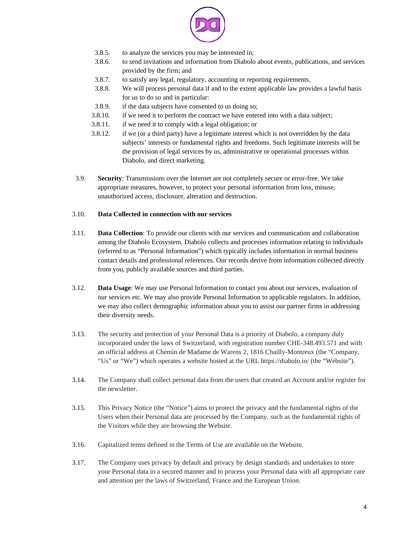

- 3.8.5. to analyze the services you may be interested in;
- 3.8.6. to send invitations and information from Diabolo about events, publications, and services provided by the firm; and
- 3.8.7. to satisfy any legal, regulatory, accounting or reporting requirements.
- 3.8.8. We will process personal data if and to the extent applicable law provides a lawful basis for us to do so and in particular:
- 3.8.9. if the data subjects have consented to us doing so;
- 3.8.10. if we need it to perform the contract we have entered into with a data subject;
- 3.8.11. if we need it to comply with a legal obligation; or
- 3.8.12. if we (or a third party) have a legitimate interest which is not overridden by the data subjects' interests or fundamental rights and freedoms. Such legitimate interests will be the provision of legal services by us, administrative or operational processes within Diabolo, and direct marketing.
- 3.9. **Security**: Transmissions over the Internet are not completely secure or error-free. We take appropriate measures, however, to protect your personal information from loss, misuse, unauthorized access, disclosure, alteration and destruction.

# 3.10. **Data Collected in connection with our services**

- 3.11. **Data Collection**: To provide our clients with our services and communication and collaboration among the Diabolo Ecosystem. Diabolo collects and processes information relating to individuals (referred to as "Personal Information") which typically includes information in normal business contact details and professional references. Our records derive from information collected directly from you, publicly available sources and third parties.
- 3.12. **Data Usage**: We may use Personal Information to contact you about our services, evaluation of our services etc. We may also provide Personal Information to applicable regulators. In addition, we may also collect demographic information about you to assist our partner firms in addressing their diversity needs.
- 3.13. The security and protection of your Personal Data is a priority of Diabolo, a company duly incorporated under the laws of Switzerland, with registration number CHE-348.493.571 and with an official address at Chemin de Madame de Warens 2, 1816 Chailly-Montreux (the "Company, "Us" or "We") which operates a website hosted at the URL https://diabolo.io/ (the "Website").
- 3.14. The Company shall collect personal data from the users that created an Account and/or register for the newsletter.
- 3.15. This Privacy Notice (the "Notice") aims to protect the privacy and the fundamental rights of the Users when their Personal data are processed by the Company, such as the fundamental rights of the Visitors while they are browsing the Website.
- 3.16. Capitalized terms defined in the Terms of Use are available on the Website.
- 3.17. The Company uses privacy by default and privacy by design standards and undertakes to store your Personal data in a secured manner and to process your Personal data with all appropriate care and attention per the laws of Switzerland, France and the European Union.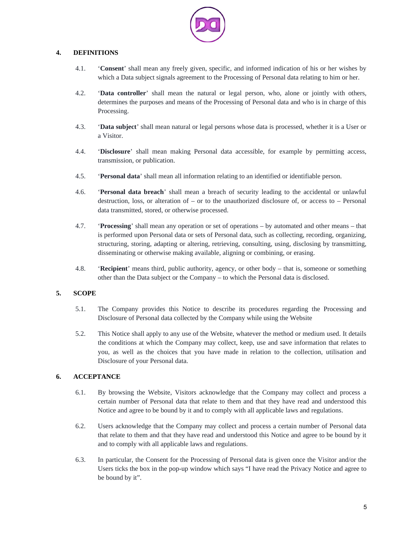

# **4. DEFINITIONS**

- <span id="page-4-2"></span>4.1. '**Consent**' shall mean any freely given, specific, and informed indication of his or her wishes by which a Data subject signals agreement to the Processing of Personal data relating to him or her.
- 4.2. '**Data controller**' shall mean the natural or legal person, who, alone or jointly with others, determines the purposes and means of the Processing of Personal data and who is in charge of this Processing.
- 4.3. '**Data subject**' shall mean natural or legal persons whose data is processed, whether it is a User or a Visitor.
- 4.4. '**Disclosure**' shall mean making Personal data accessible, for example by permitting access, transmission, or publication.
- 4.5. '**Personal data**' shall mean all information relating to an identified or identifiable person.
- 4.6. '**Personal data breach**' shall mean a breach of security leading to the accidental or unlawful destruction, loss, or alteration of – or to the unauthorized disclosure of, or access to – Personal data transmitted, stored, or otherwise processed.
- 4.7. '**Processing**' shall mean any operation or set of operations by automated and other means that is performed upon Personal data or sets of Personal data, such as collecting, recording, organizing, structuring, storing, adapting or altering, retrieving, consulting, using, disclosing by transmitting, disseminating or otherwise making available, aligning or combining, or erasing.
- 4.8. '**Recipient**' means third, public authority, agency, or other body that is, someone or something other than the Data subject or the Company – to which the Personal data is disclosed.

# **5. SCOPE**

- <span id="page-4-1"></span>5.1. The Company provides this Notice to describe its procedures regarding the Processing and Disclosure of Personal data collected by the Company while using the Website
- 5.2. This Notice shall apply to any use of the Website, whatever the method or medium used. It details the conditions at which the Company may collect, keep, use and save information that relates to you, as well as the choices that you have made in relation to the collection, utilisation and Disclosure of your Personal data.

# **6. ACCEPTANCE**

- <span id="page-4-0"></span>6.1. By browsing the Website, Visitors acknowledge that the Company may collect and process a certain number of Personal data that relate to them and that they have read and understood this Notice and agree to be bound by it and to comply with all applicable laws and regulations.
- 6.2. Users acknowledge that the Company may collect and process a certain number of Personal data that relate to them and that they have read and understood this Notice and agree to be bound by it and to comply with all applicable laws and regulations.
- 6.3. In particular, the Consent for the Processing of Personal data is given once the Visitor and/or the Users ticks the box in the pop-up window which says "I have read the Privacy Notice and agree to be bound by it".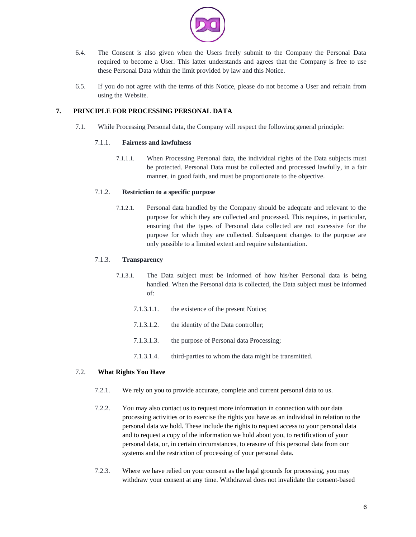

- 6.4. The Consent is also given when the Users freely submit to the Company the Personal Data required to become a User. This latter understands and agrees that the Company is free to use these Personal Data within the limit provided by law and this Notice.
- 6.5. If you do not agree with the terms of this Notice, please do not become a User and refrain from using the Website.

## **7. PRINCIPLE FOR PROCESSING PERSONAL DATA**

<span id="page-5-0"></span>7.1. While Processing Personal data, the Company will respect the following general principle:

#### 7.1.1. **Fairness and lawfulness**

7.1.1.1. When Processing Personal data, the individual rights of the Data subjects must be protected. Personal Data must be collected and processed lawfully, in a fair manner, in good faith, and must be proportionate to the objective.

# 7.1.2. **Restriction to a specific purpose**

7.1.2.1. Personal data handled by the Company should be adequate and relevant to the purpose for which they are collected and processed. This requires, in particular, ensuring that the types of Personal data collected are not excessive for the purpose for which they are collected. Subsequent changes to the purpose are only possible to a limited extent and require substantiation.

# 7.1.3. **Transparency**

- 7.1.3.1. The Data subject must be informed of how his/her Personal data is being handled. When the Personal data is collected, the Data subject must be informed of:
	- 7.1.3.1.1. the existence of the present Notice;
	- 7.1.3.1.2. the identity of the Data controller;
	- 7.1.3.1.3. the purpose of Personal data Processing;
	- 7.1.3.1.4. third-parties to whom the data might be transmitted.

#### 7.2. **What Rights You Have**

- 7.2.1. We rely on you to provide accurate, complete and current personal data to us.
- 7.2.2. You may also contact us to request more information in connection with our data processing activities or to exercise the rights you have as an individual in relation to the personal data we hold. These include the rights to request access to your personal data and to request a copy of the information we hold about you, to rectification of your personal data, or, in certain circumstances, to erasure of this personal data from our systems and the restriction of processing of your personal data.
- 7.2.3. Where we have relied on your consent as the legal grounds for processing, you may withdraw your consent at any time. Withdrawal does not invalidate the consent-based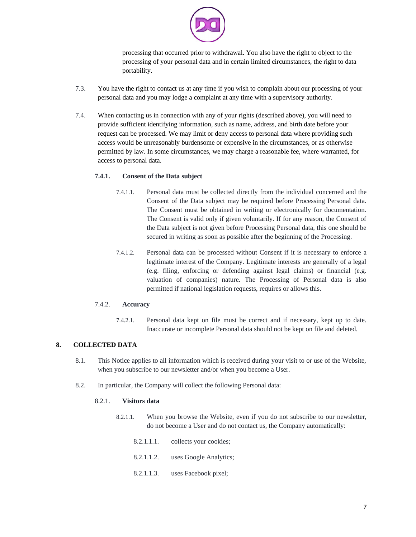

processing that occurred prior to withdrawal. You also have the right to object to the processing of your personal data and in certain limited circumstances, the right to data portability.

- 7.3. You have the right to contact us at any time if you wish to complain about our processing of your personal data and you may lodge a complaint at any time with a supervisory authority.
- 7.4. When contacting us in connection with any of your rights (described above), you will need to provide sufficient identifying information, such as name, address, and birth date before your request can be processed. We may limit or deny access to personal data where providing such access would be unreasonably burdensome or expensive in the circumstances, or as otherwise permitted by law. In some circumstances, we may charge a reasonable fee, where warranted, for access to personal data.

# **7.4.1. Consent of the Data subject**

- 7.4.1.1. Personal data must be collected directly from the individual concerned and the Consent of the Data subject may be required before Processing Personal data. The Consent must be obtained in writing or electronically for documentation. The Consent is valid only if given voluntarily. If for any reason, the Consent of the Data subject is not given before Processing Personal data, this one should be secured in writing as soon as possible after the beginning of the Processing.
- 7.4.1.2. Personal data can be processed without Consent if it is necessary to enforce a legitimate interest of the Company. Legitimate interests are generally of a legal (e.g. filing, enforcing or defending against legal claims) or financial (e.g. valuation of companies) nature. The Processing of Personal data is also permitted if national legislation requests, requires or allows this.

#### 7.4.2. **Accuracy**

7.4.2.1. Personal data kept on file must be correct and if necessary, kept up to date. Inaccurate or incomplete Personal data should not be kept on file and deleted.

# **8. COLLECTED DATA**

- <span id="page-6-0"></span>8.1. This Notice applies to all information which is received during your visit to or use of the Website, when you subscribe to our newsletter and/or when you become a User.
- 8.2. In particular, the Company will collect the following Personal data:

#### 8.2.1. **Visitors data**

- 8.2.1.1. When you browse the Website, even if you do not subscribe to our newsletter, do not become a User and do not contact us, the Company automatically:
	- 8.2.1.1.1. collects your cookies;
	- 8.2.1.1.2. uses Google Analytics;
	- 8.2.1.1.3. uses Facebook pixel;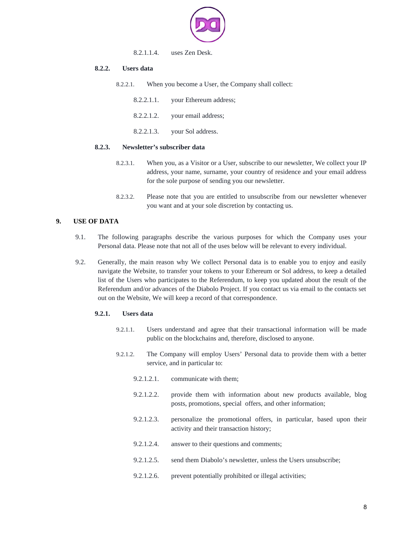

#### 8.2.1.1.4. uses Zen Desk.

#### **8.2.2. Users data**

- 8.2.2.1. When you become a User, the Company shall collect:
	- 8.2.2.1.1. your Ethereum address;
	- 8.2.2.1.2. your email address;
	- 8.2.2.1.3. your Sol address.

#### **8.2.3. Newsletter's subscriber data**

- 8.2.3.1. When you, as a Visitor or a User, subscribe to our newsletter, We collect your IP address, your name, surname, your country of residence and your email address for the sole purpose of sending you our newsletter.
- 8.2.3.2. Please note that you are entitled to unsubscribe from our newsletter whenever you want and at your sole discretion by contacting us.

# **9. USE OF DATA**

- <span id="page-7-0"></span>9.1. The following paragraphs describe the various purposes for which the Company uses your Personal data. Please note that not all of the uses below will be relevant to every individual.
- 9.2. Generally, the main reason why We collect Personal data is to enable you to enjoy and easily navigate the Website, to transfer your tokens to your Ethereum or Sol address, to keep a detailed list of the Users who participates to the Referendum, to keep you updated about the result of the Referendum and/or advances of the Diabolo Project. If you contact us via email to the contacts set out on the Website, We will keep a record of that correspondence.

#### **9.2.1. Users data**

- 9.2.1.1. Users understand and agree that their transactional information will be made public on the blockchains and, therefore, disclosed to anyone.
- 9.2.1.2. The Company will employ Users' Personal data to provide them with a better service, and in particular to:
	- 9.2.1.2.1. communicate with them;
	- 9.2.1.2.2. provide them with information about new products available, blog posts, promotions, special offers, and other information;
	- 9.2.1.2.3. personalize the promotional offers, in particular, based upon their activity and their transaction history;
	- 9.2.1.2.4. answer to their questions and comments;
	- 9.2.1.2.5. send them Diabolo's newsletter, unless the Users unsubscribe;
	- 9.2.1.2.6. prevent potentially prohibited or illegal activities;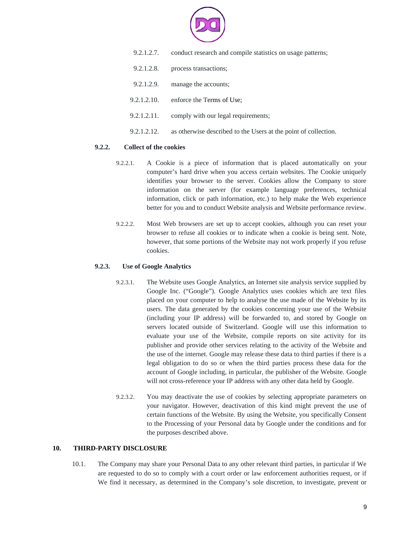

- 9.2.1.2.7. conduct research and compile statistics on usage patterns;
- 9.2.1.2.8. process transactions;
- 9.2.1.2.9. manage the accounts;
- 9.2.1.2.10. enforce the Terms of Use;
- 9.2.1.2.11. comply with our legal requirements;
- 9.2.1.2.12. as otherwise described to the Users at the point of collection.

#### **9.2.2. Collect of the cookies**

- 9.2.2.1. A Cookie is a piece of information that is placed automatically on your computer's hard drive when you access certain websites. The Cookie uniquely identifies your browser to the server. Cookies allow the Company to store information on the server (for example language preferences, technical information, click or path information, etc.) to help make the Web experience better for you and to conduct Website analysis and Website performance review.
- 9.2.2.2. Most Web browsers are set up to accept cookies, although you can reset your browser to refuse all cookies or to indicate when a cookie is being sent. Note, however, that some portions of the Website may not work properly if you refuse cookies.

# **9.2.3. Use of Google Analytics**

- 9.2.3.1. The Website uses Google Analytics, an Internet site analysis service supplied by Google Inc. ("Google"). Google Analytics uses cookies which are text files placed on your computer to help to analyse the use made of the Website by its users. The data generated by the cookies concerning your use of the Website (including your IP address) will be forwarded to, and stored by Google on servers located outside of Switzerland. Google will use this information to evaluate your use of the Website, compile reports on site activity for its publisher and provide other services relating to the activity of the Website and the use of the internet. Google may release these data to third parties if there is a legal obligation to do so or when the third parties process these data for the account of Google including, in particular, the publisher of the Website. Google will not cross-reference your IP address with any other data held by Google.
- 9.2.3.2. You may deactivate the use of cookies by selecting appropriate parameters on your navigator. However, deactivation of this kind might prevent the use of certain functions of the Website. By using the Website, you specifically Consent to the Processing of your Personal data by Google under the conditions and for the purposes described above.

#### **10. THIRD-PARTY DISCLOSURE**

<span id="page-8-0"></span>10.1. The Company may share your Personal Data to any other relevant third parties, in particular if We are requested to do so to comply with a court order or law enforcement authorities request, or if We find it necessary, as determined in the Company's sole discretion, to investigate, prevent or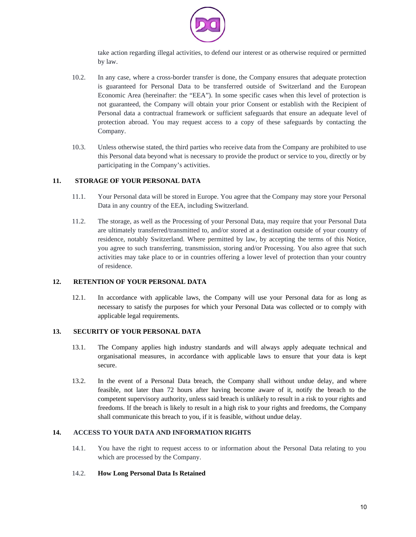

take action regarding illegal activities, to defend our interest or as otherwise required or permitted by law.

- 10.2. In any case, where a cross-border transfer is done, the Company ensures that adequate protection is guaranteed for Personal Data to be transferred outside of Switzerland and the European Economic Area (hereinafter: the "EEA"). In some specific cases when this level of protection is not guaranteed, the Company will obtain your prior Consent or establish with the Recipient of Personal data a contractual framework or sufficient safeguards that ensure an adequate level of protection abroad. You may request access to a copy of these safeguards by contacting the Company.
- 10.3. Unless otherwise stated, the third parties who receive data from the Company are prohibited to use this Personal data beyond what is necessary to provide the product or service to you, directly or by participating in the Company's activities.

# **11. STORAGE OF YOUR PERSONAL DATA**

- <span id="page-9-3"></span>11.1. Your Personal data will be stored in Europe. You agree that the Company may store your Personal Data in any country of the EEA, including Switzerland.
- 11.2. The storage, as well as the Processing of your Personal Data, may require that your Personal Data are ultimately transferred/transmitted to, and/or stored at a destination outside of your country of residence, notably Switzerland. Where permitted by law, by accepting the terms of this Notice, you agree to such transferring, transmission, storing and/or Processing. You also agree that such activities may take place to or in countries offering a lower level of protection than your country of residence.

#### **12. RETENTION OF YOUR PERSONAL DATA**

<span id="page-9-2"></span>12.1. In accordance with applicable laws, the Company will use your Personal data for as long as necessary to satisfy the purposes for which your Personal Data was collected or to comply with applicable legal requirements.

# **13. SECURITY OF YOUR PERSONAL DATA**

- <span id="page-9-1"></span>13.1. The Company applies high industry standards and will always apply adequate technical and organisational measures, in accordance with applicable laws to ensure that your data is kept secure.
- 13.2. In the event of a Personal Data breach, the Company shall without undue delay, and where feasible, not later than 72 hours after having become aware of it, notify the breach to the competent supervisory authority, unless said breach is unlikely to result in a risk to your rights and freedoms. If the breach is likely to result in a high risk to your rights and freedoms, the Company shall communicate this breach to you, if it is feasible, without undue delay.

# **14. ACCESS TO YOUR DATA AND INFORMATION RIGHTS**

<span id="page-9-0"></span>14.1. You have the right to request access to or information about the Personal Data relating to you which are processed by the Company.

# 14.2. **How Long Personal Data Is Retained**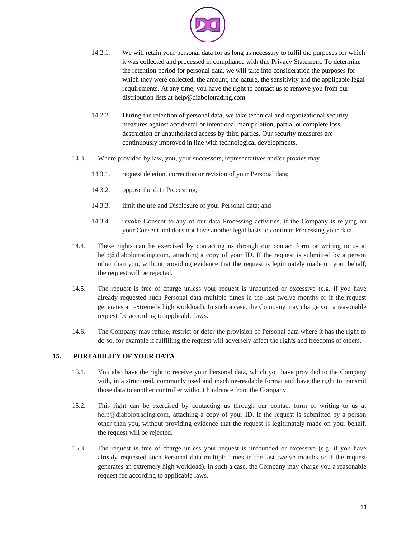

- 14.2.1. We will retain your personal data for as long as necessary to fulfil the purposes for which it was collected and processed in compliance with this Privacy Statement. To determine the retention period for personal data, we will take into consideration the purposes for which they were collected, the amount, the nature, the sensitivity and the applicable legal requirements. At any time, you have the right to contact us to remove you from our distribution lists at help@diabolotrading.com
- 14.2.2. During the retention of personal data, we take technical and organizational security measures against accidental or intentional manipulation, partial or complete loss, destruction or unauthorized access by third parties. Our security measures are continuously improved in line with technological developments.
- 14.3. Where provided by law, you, your successors, representatives and/or proxies may
	- 14.3.1. request deletion, correction or revision of your Personal data;
	- 14.3.2. oppose the data Processing;
	- 14.3.3. limit the use and Disclosure of your Personal data; and
	- 14.3.4. revoke Consent to any of our data Processing activities, if the Company is relying on your Consent and does not have another legal basis to continue Processing your data.
- 14.4. These rights can be exercised by contacting us through our contact form or writing to us at help@diabolotrading.com, attaching a copy of your ID. If the request is submitted by a person other than you, without providing evidence that the request is legitimately made on your behalf, the request will be rejected.
- 14.5. The request is free of charge unless your request is unfounded or excessive (e.g. if you have already requested such Personal data multiple times in the last twelve months or if the request generates an extremely high workload). In such a case, the Company may charge you a reasonable request fee according to applicable laws.
- 14.6. The Company may refuse, restrict or defer the provision of Personal data where it has the right to do so, for example if fulfilling the request will adversely affect the rights and freedoms of others.

#### **15. PORTABILITY OF YOUR DATA**

- <span id="page-10-0"></span>15.1. You also have the right to receive your Personal data, which you have provided to the Company with, in a structured, commonly used and machine-readable format and have the right to transmit those data to another controller without hindrance from the Company.
- 15.2. This right can be exercised by contacting us through our contact form or writing to us at help@diabolotrading.com, attaching a copy of your ID. If the request is submitted by a person other than you, without providing evidence that the request is legitimately made on your behalf, the request will be rejected.
- 15.3. The request is free of charge unless your request is unfounded or excessive (e.g. if you have already requested such Personal data multiple times in the last twelve months or if the request generates an extremely high workload). In such a case, the Company may charge you a reasonable request fee according to applicable laws.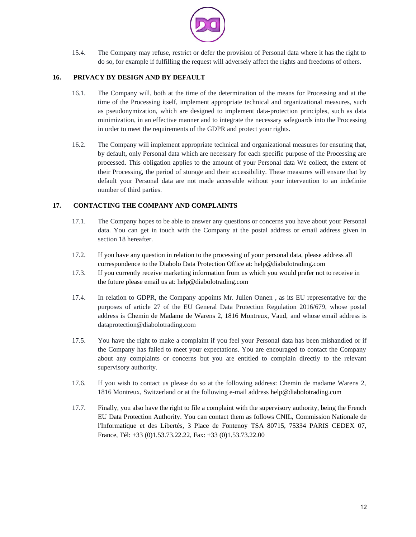

15.4. The Company may refuse, restrict or defer the provision of Personal data where it has the right to do so, for example if fulfilling the request will adversely affect the rights and freedoms of others.

## **16. PRIVACY BY DESIGN AND BY DEFAULT**

- <span id="page-11-1"></span>16.1. The Company will, both at the time of the determination of the means for Processing and at the time of the Processing itself, implement appropriate technical and organizational measures, such as pseudonymization, which are designed to implement data-protection principles, such as data minimization, in an effective manner and to integrate the necessary safeguards into the Processing in order to meet the requirements of the GDPR and protect your rights.
- 16.2. The Company will implement appropriate technical and organizational measures for ensuring that, by default, only Personal data which are necessary for each specific purpose of the Processing are processed. This obligation applies to the amount of your Personal data We collect, the extent of their Processing, the period of storage and their accessibility. These measures will ensure that by default your Personal data are not made accessible without your intervention to an indefinite number of third parties.

# **17. CONTACTING THE COMPANY AND COMPLAINTS**

- <span id="page-11-0"></span>17.1. The Company hopes to be able to answer any questions or concerns you have about your Personal data. You can get in touch with the Company at the postal address or email address given in section 18 hereafter.
- 17.2. If you have any question in relation to the processing of your personal data, please address all correspondence to the Diabolo Data Protection Office at: help@diabolotrading.com
- 17.3. If you currently receive marketing information from us which you would prefer not to receive in the future please email us at: help@diabolotrading.com
- 17.4. In relation to GDPR, the Company appoints Mr. Julien Onnen , as its EU representative for the purposes of article 27 of the EU General Data Protection Regulation 2016/679, whose postal address is Chemin de Madame de Warens 2, 1816 Montreux, Vaud, and whose email address is dataprotection@diabolotrading.com
- 17.5. You have the right to make a complaint if you feel your Personal data has been mishandled or if the Company has failed to meet your expectations. You are encouraged to contact the Company about any complaints or concerns but you are entitled to complain directly to the relevant supervisory authority.
- 17.6. If you wish to contact us please do so at the following address: Chemin de madame Warens 2, 1816 Montreux, Switzerland or at the following e-mail address help@diabolotrading.com
- 17.7. Finally, you also have the right to file a complaint with the supervisory authority, being the French EU Data Protection Authority. You can contact them as follows CNIL, Commission Nationale de l'Informatique et des Libertés, 3 Place de Fontenoy TSA 80715, 75334 PARIS CEDEX 07, France, Tél: +33 (0)1.53.73.22.22, Fax: +33 (0)1.53.73.22.00